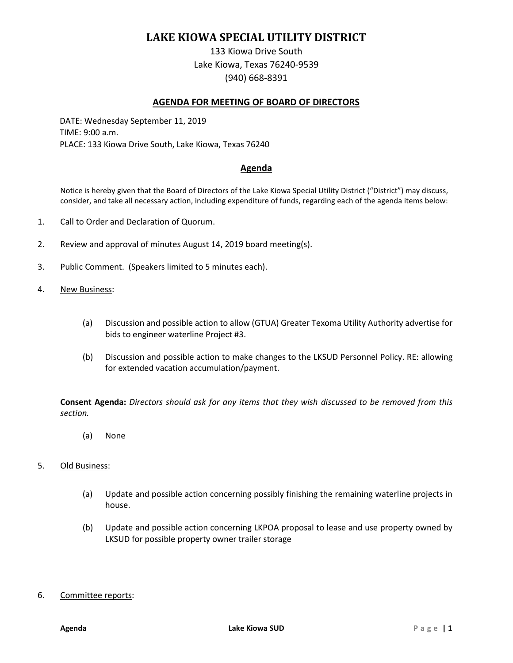# **LAKE KIOWA SPECIAL UTILITY DISTRICT**

133 Kiowa Drive South Lake Kiowa, Texas 76240-9539 (940) 668-8391

### **AGENDA FOR MEETING OF BOARD OF DIRECTORS**

DATE: Wednesday September 11, 2019 TIME: 9:00 a.m. PLACE: 133 Kiowa Drive South, Lake Kiowa, Texas 76240

### **Agenda**

Notice is hereby given that the Board of Directors of the Lake Kiowa Special Utility District ("District") may discuss, consider, and take all necessary action, including expenditure of funds, regarding each of the agenda items below:

- 1. Call to Order and Declaration of Quorum.
- 2. Review and approval of minutes August 14, 2019 board meeting(s).
- 3. Public Comment. (Speakers limited to 5 minutes each).
- 4. New Business:
	- (a) Discussion and possible action to allow (GTUA) Greater Texoma Utility Authority advertise for bids to engineer waterline Project #3.
	- (b) Discussion and possible action to make changes to the LKSUD Personnel Policy. RE: allowing for extended vacation accumulation/payment.

**Consent Agenda:** *Directors should ask for any items that they wish discussed to be removed from this section.*

(a) None

#### 5. Old Business:

- (a) Update and possible action concerning possibly finishing the remaining waterline projects in house.
- (b) Update and possible action concerning LKPOA proposal to lease and use property owned by LKSUD for possible property owner trailer storage
- 6. Committee reports: